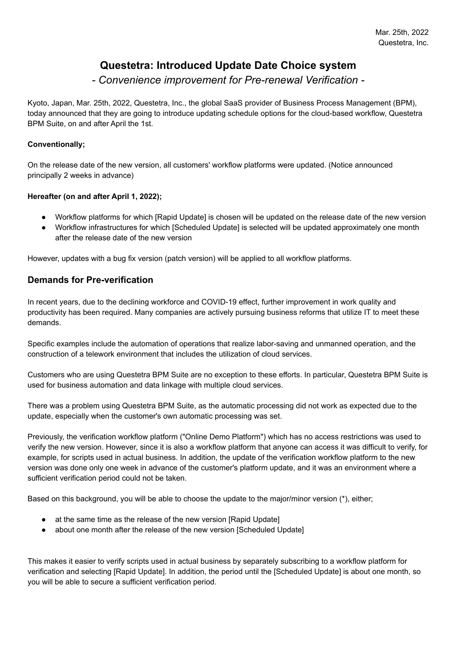# **Questetra: Introduced Update Date Choice system**

## *- Convenience improvement for Pre-renewal Verification -*

Kyoto, Japan, Mar. 25th, 2022, Questetra, Inc., the global SaaS provider of Business Process Management (BPM), today announced that they are going to introduce updating schedule options for the cloud-based workflow, Questetra BPM Suite, on and after April the 1st.

### **Conventionally;**

On the release date of the new version, all customers' workflow platforms were updated. (Notice announced principally 2 weeks in advance)

### **Hereafter (on and after April 1, 2022);**

- Workflow platforms for which [Rapid Update] is chosen will be updated on the release date of the new version
- Workflow infrastructures for which [Scheduled Update] is selected will be updated approximately one month after the release date of the new version

However, updates with a bug fix version (patch version) will be applied to all workflow platforms.

### **Demands for Pre-verification**

In recent years, due to the declining workforce and COVID-19 effect, further improvement in work quality and productivity has been required. Many companies are actively pursuing business reforms that utilize IT to meet these demands.

Specific examples include the automation of operations that realize labor-saving and unmanned operation, and the construction of a telework environment that includes the utilization of cloud services.

Customers who are using Questetra BPM Suite are no exception to these efforts. In particular, Questetra BPM Suite is used for business automation and data linkage with multiple cloud services.

There was a problem using Questetra BPM Suite, as the automatic processing did not work as expected due to the update, especially when the customer's own automatic processing was set.

Previously, the verification workflow platform ("Online Demo Platform") which has no access restrictions was used to verify the new version. However, since it is also a workflow platform that anyone can access it was difficult to verify, for example, for scripts used in actual business. In addition, the update of the verification workflow platform to the new version was done only one week in advance of the customer's platform update, and it was an environment where a sufficient verification period could not be taken.

Based on this background, you will be able to choose the update to the major/minor version (\*), either;

- at the same time as the release of the new version [Rapid Update]
- about one month after the release of the new version [Scheduled Update]

This makes it easier to verify scripts used in actual business by separately subscribing to a workflow platform for verification and selecting [Rapid Update]. In addition, the period until the [Scheduled Update] is about one month, so you will be able to secure a sufficient verification period.